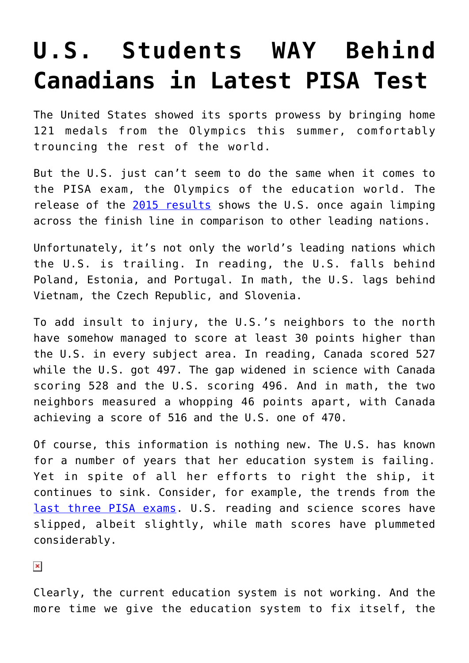## **[U.S. Students WAY Behind](https://intellectualtakeout.org/2016/12/u-s-students-way-behind-canadians-in-latest-pisa-test/) [Canadians in Latest PISA Test](https://intellectualtakeout.org/2016/12/u-s-students-way-behind-canadians-in-latest-pisa-test/)**

The United States showed its sports prowess by bringing home 121 medals from the Olympics this summer, comfortably trouncing the rest of the world.

But the U.S. just can't seem to do the same when it comes to the PISA exam, the Olympics of the education world. The release of the [2015 results](https://www.oecd.org/pisa/pisa-2015-results-in-focus.pdf) shows the U.S. once again limping across the finish line in comparison to other leading nations.

Unfortunately, it's not only the world's leading nations which the U.S. is trailing. In reading, the U.S. falls behind Poland, Estonia, and Portugal. In math, the U.S. lags behind Vietnam, the Czech Republic, and Slovenia.

To add insult to injury, the U.S.'s neighbors to the north have somehow managed to score at least 30 points higher than the U.S. in every subject area. In reading, Canada scored 527 while the U.S. got 497. The gap widened in science with Canada scoring 528 and the U.S. scoring 496. And in math, the two neighbors measured a whopping 46 points apart, with Canada achieving a score of 516 and the U.S. one of 470.

Of course, this information is nothing new. The U.S. has known for a number of years that her education system is failing. Yet in spite of all her efforts to right the ship, it continues to sink. Consider, for example, the trends from the [last three PISA exams](http://www.oecd.org/pisa/PISA-2015-United-States.pdf). U.S. reading and science scores have slipped, albeit slightly, while math scores have plummeted considerably.

 $\pmb{\times}$ 

Clearly, the current education system is not working. And the more time we give the education system to fix itself, the